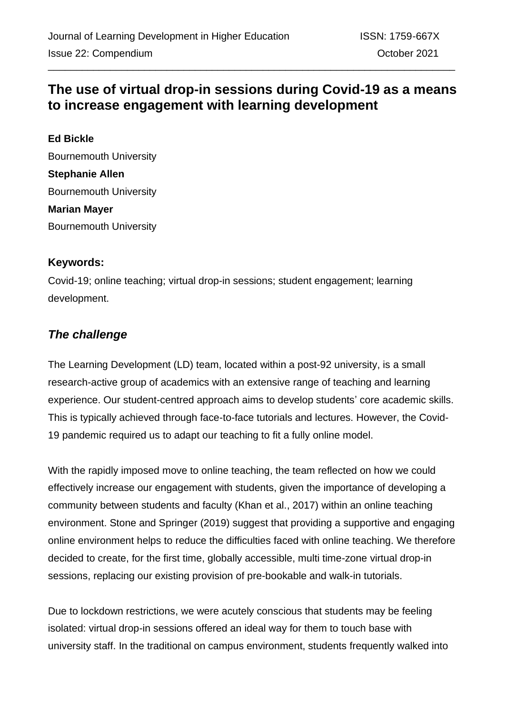# **The use of virtual drop-in sessions during Covid-19 as a means to increase engagement with learning development**

**Ed Bickle** Bournemouth University **Stephanie Allen** Bournemouth University **Marian Mayer** Bournemouth University

#### **Keywords:**

Covid-19; online teaching; virtual drop-in sessions; student engagement; learning development.

## *The challenge*

The Learning Development (LD) team, located within a post-92 university, is a small research-active group of academics with an extensive range of teaching and learning experience. Our student-centred approach aims to develop students' core academic skills. This is typically achieved through face-to-face tutorials and lectures. However, the Covid-19 pandemic required us to adapt our teaching to fit a fully online model.

With the rapidly imposed move to online teaching, the team reflected on how we could effectively increase our engagement with students, given the importance of developing a community between students and faculty (Khan et al., 2017) within an online teaching environment. Stone and Springer (2019) suggest that providing a supportive and engaging online environment helps to reduce the difficulties faced with online teaching. We therefore decided to create, for the first time, globally accessible, multi time-zone virtual drop-in sessions, replacing our existing provision of pre-bookable and walk-in tutorials.

Due to lockdown restrictions, we were acutely conscious that students may be feeling isolated: virtual drop-in sessions offered an ideal way for them to touch base with university staff. In the traditional on campus environment, students frequently walked into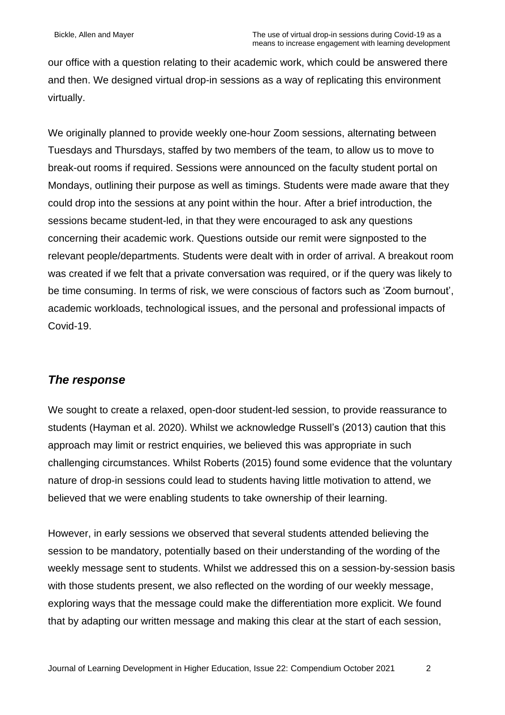our office with a question relating to their academic work, which could be answered there and then. We designed virtual drop-in sessions as a way of replicating this environment virtually.

We originally planned to provide weekly one-hour Zoom sessions, alternating between Tuesdays and Thursdays, staffed by two members of the team, to allow us to move to break-out rooms if required. Sessions were announced on the faculty student portal on Mondays, outlining their purpose as well as timings. Students were made aware that they could drop into the sessions at any point within the hour. After a brief introduction, the sessions became student-led, in that they were encouraged to ask any questions concerning their academic work. Questions outside our remit were signposted to the relevant people/departments. Students were dealt with in order of arrival. A breakout room was created if we felt that a private conversation was required, or if the query was likely to be time consuming. In terms of risk, we were conscious of factors such as 'Zoom burnout', academic workloads, technological issues, and the personal and professional impacts of Covid-19.

### *The response*

We sought to create a relaxed, open-door student-led session, to provide reassurance to students (Hayman et al. 2020). Whilst we acknowledge Russell's (2013) caution that this approach may limit or restrict enquiries, we believed this was appropriate in such challenging circumstances. Whilst Roberts (2015) found some evidence that the voluntary nature of drop-in sessions could lead to students having little motivation to attend, we believed that we were enabling students to take ownership of their learning.

However, in early sessions we observed that several students attended believing the session to be mandatory, potentially based on their understanding of the wording of the weekly message sent to students. Whilst we addressed this on a session-by-session basis with those students present, we also reflected on the wording of our weekly message, exploring ways that the message could make the differentiation more explicit. We found that by adapting our written message and making this clear at the start of each session,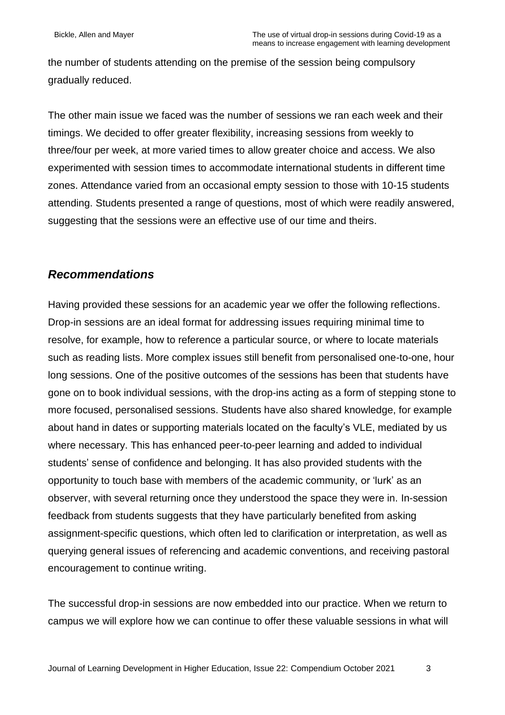the number of students attending on the premise of the session being compulsory gradually reduced.

The other main issue we faced was the number of sessions we ran each week and their timings. We decided to offer greater flexibility, increasing sessions from weekly to three/four per week, at more varied times to allow greater choice and access. We also experimented with session times to accommodate international students in different time zones. Attendance varied from an occasional empty session to those with 10-15 students attending. Students presented a range of questions, most of which were readily answered, suggesting that the sessions were an effective use of our time and theirs.

#### *Recommendations*

Having provided these sessions for an academic year we offer the following reflections. Drop-in sessions are an ideal format for addressing issues requiring minimal time to resolve, for example, how to reference a particular source, or where to locate materials such as reading lists. More complex issues still benefit from personalised one-to-one, hour long sessions. One of the positive outcomes of the sessions has been that students have gone on to book individual sessions, with the drop-ins acting as a form of stepping stone to more focused, personalised sessions. Students have also shared knowledge, for example about hand in dates or supporting materials located on the faculty's VLE, mediated by us where necessary. This has enhanced peer-to-peer learning and added to individual students' sense of confidence and belonging. It has also provided students with the opportunity to touch base with members of the academic community, or 'lurk' as an observer, with several returning once they understood the space they were in. In-session feedback from students suggests that they have particularly benefited from asking assignment-specific questions, which often led to clarification or interpretation, as well as querying general issues of referencing and academic conventions, and receiving pastoral encouragement to continue writing.

The successful drop-in sessions are now embedded into our practice. When we return to campus we will explore how we can continue to offer these valuable sessions in what will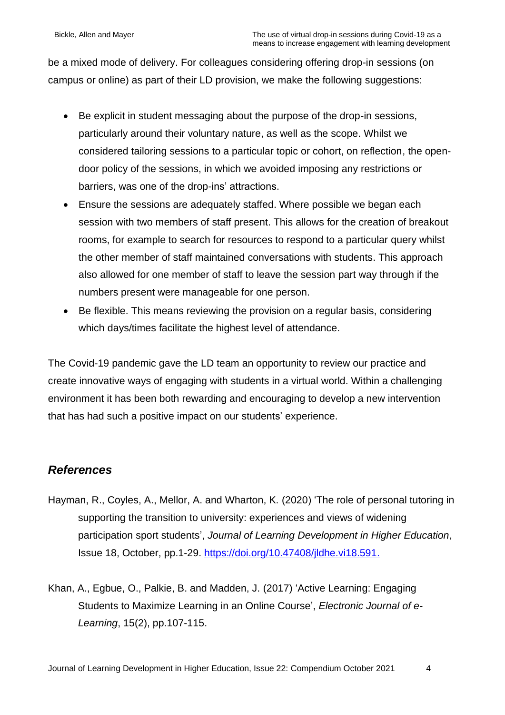be a mixed mode of delivery. For colleagues considering offering drop-in sessions (on campus or online) as part of their LD provision, we make the following suggestions:

- Be explicit in student messaging about the purpose of the drop-in sessions, particularly around their voluntary nature, as well as the scope. Whilst we considered tailoring sessions to a particular topic or cohort, on reflection, the opendoor policy of the sessions, in which we avoided imposing any restrictions or barriers, was one of the drop-ins' attractions.
- Ensure the sessions are adequately staffed. Where possible we began each session with two members of staff present. This allows for the creation of breakout rooms, for example to search for resources to respond to a particular query whilst the other member of staff maintained conversations with students. This approach also allowed for one member of staff to leave the session part way through if the numbers present were manageable for one person.
- Be flexible. This means reviewing the provision on a regular basis, considering which days/times facilitate the highest level of attendance.

The Covid-19 pandemic gave the LD team an opportunity to review our practice and create innovative ways of engaging with students in a virtual world. Within a challenging environment it has been both rewarding and encouraging to develop a new intervention that has had such a positive impact on our students' experience.

## *References*

- Hayman, R., Coyles, A., Mellor, A. and Wharton, K. (2020) 'The role of personal tutoring in supporting the transition to university: experiences and views of widening participation sport students', *Journal of Learning Development in Higher Education*, Issue 18, October, pp.1-29. [https://doi.org/10.47408/jldhe.vi18.591.](https://doi.org/10.47408/jldhe.vi18.591)
- Khan, A., Egbue, O., Palkie, B. and Madden, J. (2017) 'Active Learning: Engaging Students to Maximize Learning in an Online Course', *Electronic Journal of e-Learning*, 15(2), pp.107-115.